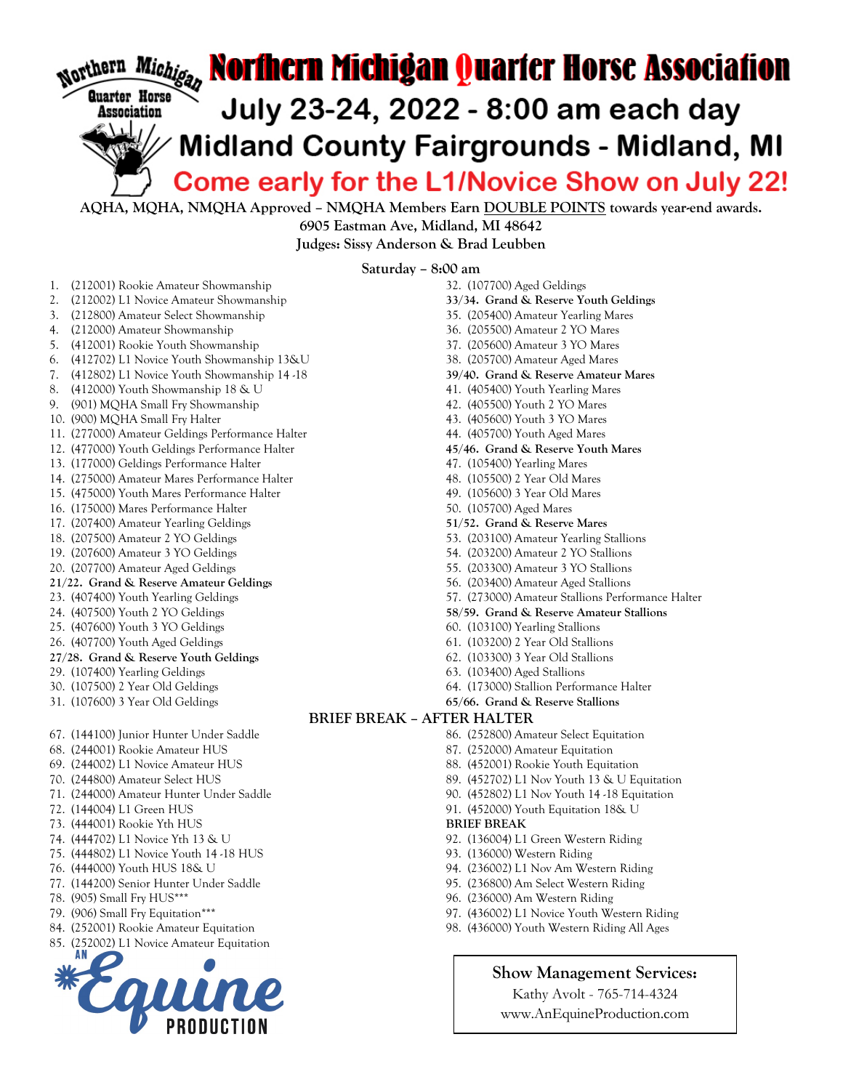

AQHA, MQHA, NMQHA Approved – NMQHA Members Earn DOUBLE POINTS towards year-end awards. 6905 Eastman Ave, Midland, MI 48642

Judges: Sissy Anderson & Brad Leubben

Saturday – 8:00 am

- 1. (212001) Rookie Amateur Showmanship
- 2. (212002) L1 Novice Amateur Showmanship
- 3. (212800) Amateur Select Showmanship
- 4. (212000) Amateur Showmanship
- 5. (412001) Rookie Youth Showmanship
- 6. (412702) L1 Novice Youth Showmanship 13&U
- 7. (412802) L1 Novice Youth Showmanship 14 -18
- 8. (412000) Youth Showmanship 18 & U
- 9. (901) MQHA Small Fry Showmanship
- 10. (900) MQHA Small Fry Halter
- 11. (277000) Amateur Geldings Performance Halter
- 12. (477000) Youth Geldings Performance Halter
- 13. (177000) Geldings Performance Halter
- 14. (275000) Amateur Mares Performance Halter
- 15. (475000) Youth Mares Performance Halter
- 16. (175000) Mares Performance Halter
- 17. (207400) Amateur Yearling Geldings
- 18. (207500) Amateur 2 YO Geldings
- 19. (207600) Amateur 3 YO Geldings
- 20. (207700) Amateur Aged Geldings
- 21/22. Grand & Reserve Amateur Geldings
- 23. (407400) Youth Yearling Geldings
- 24. (407500) Youth 2 YO Geldings
- 25. (407600) Youth 3 YO Geldings
- 26. (407700) Youth Aged Geldings
- 27/28. Grand & Reserve Youth Geldings
- 29. (107400) Yearling Geldings
- 30. (107500) 2 Year Old Geldings
- 31. (107600) 3 Year Old Geldings
- 67. (144100) Junior Hunter Under Saddle
- 68. (244001) Rookie Amateur HUS
- 69. (244002) L1 Novice Amateur HUS
- 70. (244800) Amateur Select HUS
- 71. (244000) Amateur Hunter Under Saddle
- 72. (144004) L1 Green HUS
- 73. (444001) Rookie Yth HUS
- 74. (444702) L1 Novice Yth 13 & U
- 75. (444802) L1 Novice Youth 14 -18 HUS
- 76. (444000) Youth HUS 18& U
- 77. (144200) Senior Hunter Under Saddle
- 78. (905) Small Fry HUS\*\*\*
- 79. (906) Small Fry Equitation\*\*\*
- 84. (252001) Rookie Amateur Equitation
- 85. (252002) L1 Novice Amateur Equitation



32. (107700) Aged Geldings 33/34. Grand & Reserve Youth Geldings 35. (205400) Amateur Yearling Mares 36. (205500) Amateur 2 YO Mares 37. (205600) Amateur 3 YO Mares 38. (205700) Amateur Aged Mares 39/40. Grand & Reserve Amateur Mares 41. (405400) Youth Yearling Mares 42. (405500) Youth 2 YO Mares 43. (405600) Youth 3 YO Mares 44. (405700) Youth Aged Mares 45/46. Grand & Reserve Youth Mares 47. (105400) Yearling Mares 48. (105500) 2 Year Old Mares 49. (105600) 3 Year Old Mares 50. (105700) Aged Mares 51/52. Grand & Reserve Mares 53. (203100) Amateur Yearling Stallions 54. (203200) Amateur 2 YO Stallions 55. (203300) Amateur 3 YO Stallions 56. (203400) Amateur Aged Stallions 57. (273000) Amateur Stallions Performance Halter 58/59. Grand & Reserve Amateur Stallions 60. (103100) Yearling Stallions 61. (103200) 2 Year Old Stallions 62. (103300) 3 Year Old Stallions 63. (103400) Aged Stallions 64. (173000) Stallion Performance Halter 65/66. Grand & Reserve Stallions BRIEF BREAK – AFTER HALTER 86. (252800) Amateur Select Equitation 87. (252000) Amateur Equitation 88. (452001) Rookie Youth Equitation 89. (452702) L1 Nov Youth 13 & U Equitation 90. (452802) L1 Nov Youth 14 -18 Equitation 91. (452000) Youth Equitation 18& U BRIEF BREAK 92. (136004) L1 Green Western Riding 93. (136000) Western Riding 94. (236002) L1 Nov Am Western Riding

- 95. (236800) Am Select Western Riding
- 96. (236000) Am Western Riding
- 
- 97. (436002) L1 Novice Youth Western Riding 98. (436000) Youth Western Riding All Ages

Show Management Services:

Kathy Avolt - 765-714-4324 www.AnEquineProduction.com